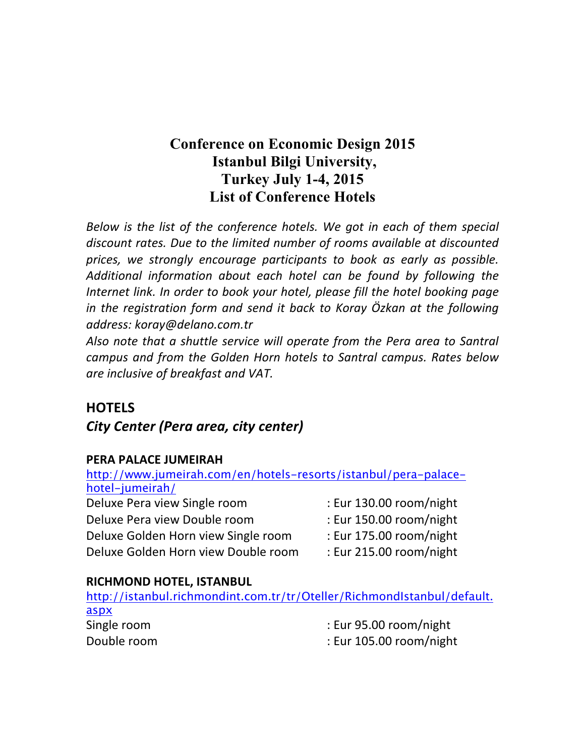# **Conference on Economic Design 2015 Istanbul Bilgi University, Turkey July 1-4, 2015 List of Conference Hotels**

*Below is the list of the conference hotels. We got in each of them special* discount rates. Due to the limited number of rooms available at discounted prices, we strongly encourage participants to book as early as possible. Additional information about each hotel can be found by following the *Internet link. In order to book your hotel, please fill the hotel booking page in* the registration form and send it back to Koray Özkan at the following *address: koray@delano.com.tr*

Also note that a shuttle service will operate from the Pera area to Santral *campus and from the Golden Horn hotels to Santral campus. Rates below* are *inclusive* of breakfast and VAT.

# **HOTELS**

# **City Center (Pera area, city center)**

### **PERA PALACE JUMEIRAH**

| http://www.jumeirah.com/en/hotels-resorts/istanbul/pera-palace- |                         |
|-----------------------------------------------------------------|-------------------------|
| hotel-jumeirah/                                                 |                         |
| Deluxe Pera view Single room                                    | : Eur 130.00 room/night |
| Deluxe Pera view Double room                                    | : Eur 150.00 room/night |
| Deluxe Golden Horn view Single room                             | : Eur 175.00 room/night |
| Deluxe Golden Horn view Double room                             | : Eur 215.00 room/night |

### **RICHMOND HOTEL, ISTANBUL**

| http://istanbul.richmondint.com.tr/tr/Oteller/RichmondIstanbul/default. |                         |
|-------------------------------------------------------------------------|-------------------------|
| aspx                                                                    |                         |
| Single room                                                             | : Eur 95.00 room/night  |
| Double room                                                             | : Eur 105.00 room/night |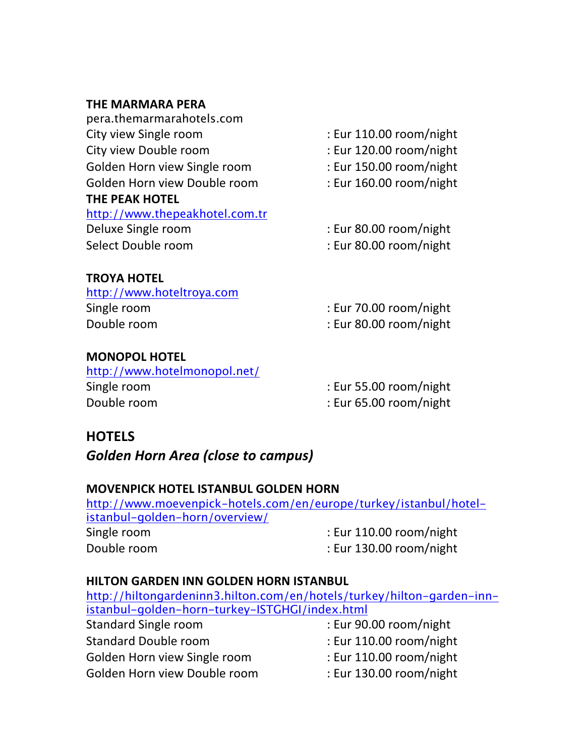#### **THE MARMARA PERA**

| pera.themarmarahotels.com      |                         |
|--------------------------------|-------------------------|
| City view Single room          | : Eur 110.00 room/night |
| City view Double room          | : Eur 120.00 room/night |
| Golden Horn view Single room   | : Eur 150.00 room/night |
| Golden Horn view Double room   | : Eur 160.00 room/night |
| THE PEAK HOTEL                 |                         |
| http://www.thepeakhotel.com.tr |                         |
| Deluxe Single room             | : Eur 80.00 room/night  |
| Select Double room             | : Eur 80.00 room/night  |

#### **TROYA HOTEL**

| http://www.hoteltroya.com |                        |
|---------------------------|------------------------|
| Single room               | : Eur 70.00 room/night |
| Double room               | : Eur 80.00 room/night |

#### **MONOPOL HOTEL**

| http://www.hotelmonopol.net/ |                        |
|------------------------------|------------------------|
| Single room                  | : Eur 55.00 room/night |
| Double room                  | : Eur 65.00 room/night |

# **HOTELS**

# **Golden Horn Area (close to campus)**

## **MOVENPICK HOTEL ISTANBUL GOLDEN HORN**

| http://www.moevenpick-hotels.com/en/europe/turkey/istanbul/hotel- |  |
|-------------------------------------------------------------------|--|
|                                                                   |  |
| : Eur $110.00$ room/night                                         |  |
| : Eur 130.00 room/night                                           |  |
|                                                                   |  |

#### **HILTON GARDEN INN GOLDEN HORN ISTANBUL**

| http://hiltongardeninn3.hilton.com/en/hotels/turkey/hilton-garden-inn- |                         |  |
|------------------------------------------------------------------------|-------------------------|--|
| istanbul-golden-horn-turkey-ISTGHGI/index.html                         |                         |  |
| <b>Standard Single room</b>                                            | : Eur 90.00 room/night  |  |
| <b>Standard Double room</b>                                            | : Eur 110.00 room/night |  |
| Golden Horn view Single room                                           | : Eur 110.00 room/night |  |
| Golden Horn view Double room                                           | : Eur 130.00 room/night |  |
|                                                                        |                         |  |